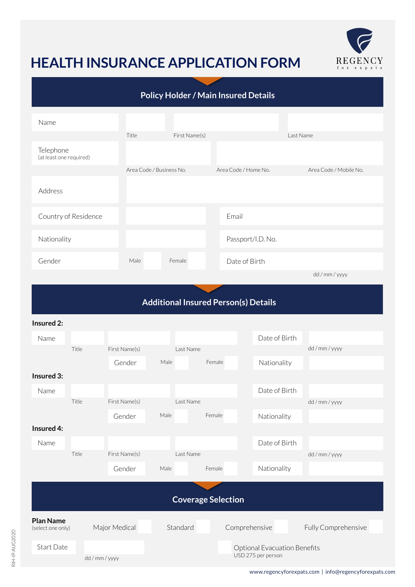

## **HEALTH INSURANCE APPLICATION FORM**

| <b>Policy Holder / Main Insured Details</b> |                          |               |                      |                        |  |  |  |  |
|---------------------------------------------|--------------------------|---------------|----------------------|------------------------|--|--|--|--|
| Name                                        |                          |               |                      |                        |  |  |  |  |
|                                             | Title                    | First Name(s) |                      | Last Name              |  |  |  |  |
| Telephone<br>(at least one required)        |                          |               |                      |                        |  |  |  |  |
|                                             | Area Code / Business No. |               | Area Code / Home No. | Area Code / Mobile No. |  |  |  |  |
| Address                                     |                          |               |                      |                        |  |  |  |  |
| Country of Residence                        |                          |               | Email                |                        |  |  |  |  |
| Nationality                                 |                          |               | Passport/I.D. No.    |                        |  |  |  |  |
| Gender                                      | Male                     | Female        | Date of Birth        |                        |  |  |  |  |
|                                             |                          |               |                      | dd / mm / yyyy         |  |  |  |  |
|                                             |                          |               |                      |                        |  |  |  |  |

## **Additional Insured Person(s) Details**

## **Insured 2:**

| Name                      |                |               |                    |        | Date of Birth                       |                     |  |
|---------------------------|----------------|---------------|--------------------|--------|-------------------------------------|---------------------|--|
|                           | Title          | First Name(s) | Last Name          |        |                                     | dd/mm/yyyy          |  |
|                           |                | Gender        | Male               | Female | Nationality                         |                     |  |
| Insured 3:                |                |               |                    |        |                                     |                     |  |
| Name                      |                |               |                    |        | Date of Birth                       |                     |  |
|                           | Title          | First Name(s) | Last Name          |        |                                     | dd / mm / yyyy      |  |
|                           |                | Gender        | Male               | Female | Nationality                         |                     |  |
| Insured 4:                |                |               |                    |        |                                     |                     |  |
| Name                      |                |               |                    |        | Date of Birth                       |                     |  |
|                           | Title          | First Name(s) | Last Name          |        |                                     | dd / mm / yyyy      |  |
|                           |                | Gender        | Male               | Female | Nationality                         |                     |  |
|                           |                |               |                    |        |                                     |                     |  |
| <b>Coverage Selection</b> |                |               |                    |        |                                     |                     |  |
| <b>Plan Name</b>          |                |               |                    |        |                                     |                     |  |
| (select one only)         |                | Major Medical | Standard           |        | Comprehensive                       | Fully Comprehensive |  |
| Start Date                |                |               |                    |        | <b>Optional Evacuation Benefits</b> |                     |  |
|                           | dd / mm / yyyy |               | USD 275 per person |        |                                     |                     |  |